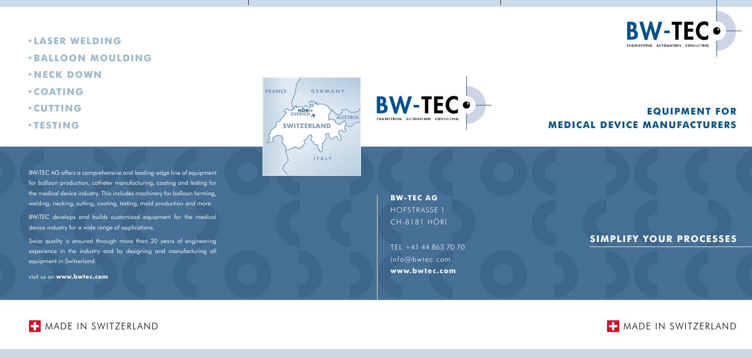# **equIpment for medIcal devIce manufacturerS**



# **SImplIfy your proceSSeS**

**FRANCE G E R M A N Y**  $\sim 5$ **HÖRI AUSTRIA SWITZERLAND I T A L Y**



BW-TEC AG offers a comprehensive and leading-edge line of equipment for balloon production, catheter manufacturing, coating and testing for the medical device industry. This includes machinery for balloon forming, welding, necking, cutting, coating, testing, mold production and more.

- **•laSer WeldInG**
- **•Balloon mouldInG**
- **•neck doWn**
- **•COA TING**
- **•cutt InG**
- **•teStInG**

BW-TEC develops and builds customized equipment for the medical device industry for a wide range of applications.

Swiss quality is ensured through more than 20 years of engineering experience in the industry and by designing and manufacturing all equipment in Switzerland.

visit us on **www.bwtec.com**

TEL +41 44 863 70 70 info@bwtec.com **www.bwtec.com**





**BW-TEC AG** HOFSTRASSE 1 CH-8181 HÖRI